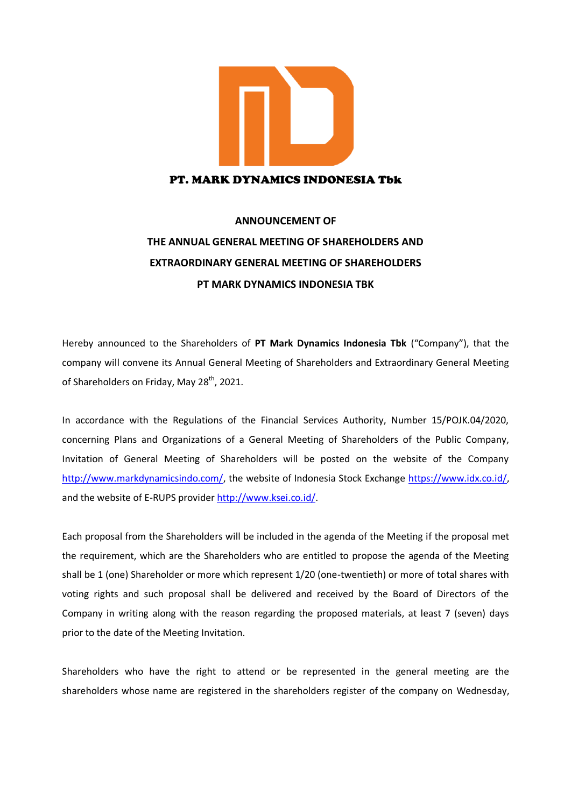

## PT. MARK DYNAMICS INDONESIA Tbk

## **ANNOUNCEMENT OF THE ANNUAL GENERAL MEETING OF SHAREHOLDERS AND EXTRAORDINARY GENERAL MEETING OF SHAREHOLDERS PT MARK DYNAMICS INDONESIA TBK**

Hereby announced to the Shareholders of **PT Mark Dynamics Indonesia Tbk** ("Company"), that the company will convene its Annual General Meeting of Shareholders and Extraordinary General Meeting of Shareholders on Friday, May 28<sup>th</sup>, 2021.

In accordance with the Regulations of the Financial Services Authority, Number 15/POJK.04/2020, concerning Plans and Organizations of a General Meeting of Shareholders of the Public Company, Invitation of General Meeting of Shareholders will be posted on the website of the Company [http://www.markdynamicsindo.com/,](http://www.markdynamicsindo.com/) the website of Indonesia Stock Exchange [https://www.idx.co.id/,](https://www.idx.co.id/) and the website of E-RUPS provider [http://www.ksei.co.id/.](http://www.ksei.co.id/)

Each proposal from the Shareholders will be included in the agenda of the Meeting if the proposal met the requirement, which are the Shareholders who are entitled to propose the agenda of the Meeting shall be 1 (one) Shareholder or more which represent 1/20 (one-twentieth) or more of total shares with voting rights and such proposal shall be delivered and received by the Board of Directors of the Company in writing along with the reason regarding the proposed materials, at least 7 (seven) days prior to the date of the Meeting Invitation.

Shareholders who have the right to attend or be represented in the general meeting are the shareholders whose name are registered in the shareholders register of the company on Wednesday,